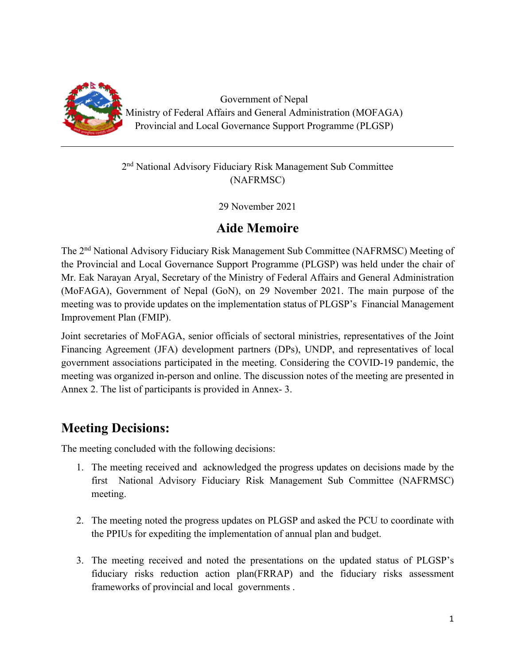

Government of Nepal Ministry of Federal Affairs and General Administration (MOFAGA) Provincial and Local Governance Support Programme (PLGSP)

#### 2nd National Advisory Fiduciary Risk Management Sub Committee (NAFRMSC)

29 November 2021

## **Aide Memoire**

The 2nd National Advisory Fiduciary Risk Management Sub Committee (NAFRMSC) Meeting of the Provincial and Local Governance Support Programme (PLGSP) was held under the chair of Mr. Eak Narayan Aryal, Secretary of the Ministry of Federal Affairs and General Administration (MoFAGA), Government of Nepal (GoN), on 29 November 2021. The main purpose of the meeting was to provide updates on the implementation status of PLGSP's Financial Management Improvement Plan (FMIP).

Joint secretaries of MoFAGA, senior officials of sectoral ministries, representatives of the Joint Financing Agreement (JFA) development partners (DPs), UNDP, and representatives of local government associations participated in the meeting. Considering the COVID-19 pandemic, the meeting was organized in-person and online. The discussion notes of the meeting are presented in Annex 2. The list of participants is provided in Annex- 3.

# **Meeting Decisions:**

The meeting concluded with the following decisions:

- 1. The meeting received and acknowledged the progress updates on decisions made by the first National Advisory Fiduciary Risk Management Sub Committee (NAFRMSC) meeting.
- 2. The meeting noted the progress updates on PLGSP and asked the PCU to coordinate with the PPIUs for expediting the implementation of annual plan and budget.
- 3. The meeting received and noted the presentations on the updated status of PLGSP's fiduciary risks reduction action plan(FRRAP) and the fiduciary risks assessment frameworks of provincial and local governments .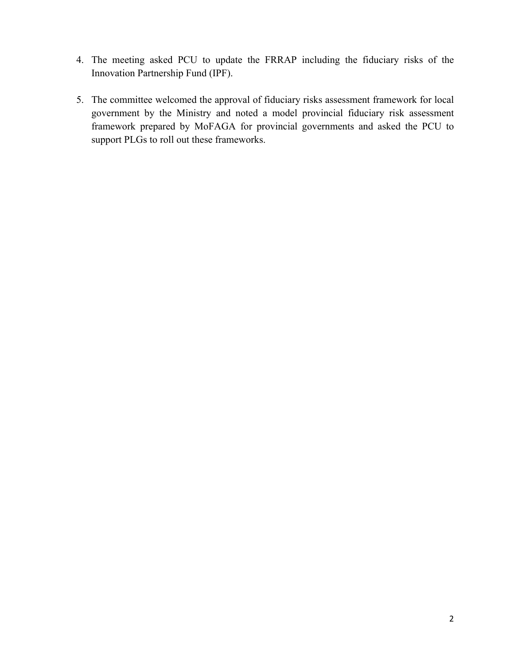- 4. The meeting asked PCU to update the FRRAP including the fiduciary risks of the Innovation Partnership Fund (IPF).
- 5. The committee welcomed the approval of fiduciary risks assessment framework for local government by the Ministry and noted a model provincial fiduciary risk assessment framework prepared by MoFAGA for provincial governments and asked the PCU to support PLGs to roll out these frameworks.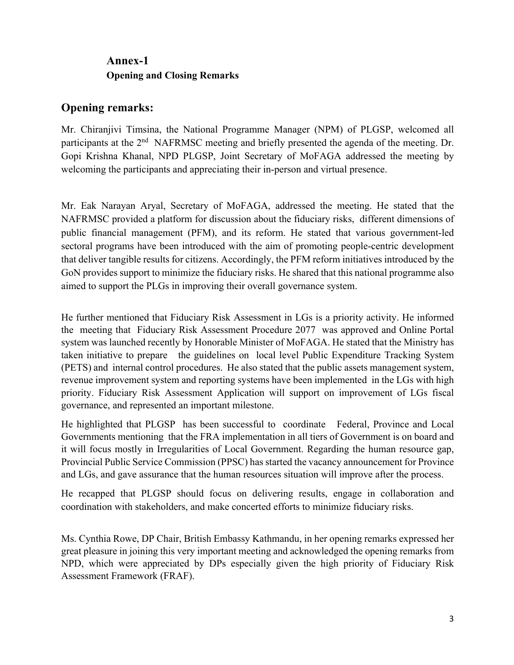## **Annex-1 Opening and Closing Remarks**

#### **Opening remarks:**

Mr. Chiranjivi Timsina, the National Programme Manager (NPM) of PLGSP, welcomed all participants at the 2<sup>nd</sup> NAFRMSC meeting and briefly presented the agenda of the meeting. Dr. Gopi Krishna Khanal, NPD PLGSP, Joint Secretary of MoFAGA addressed the meeting by welcoming the participants and appreciating their in-person and virtual presence.

Mr. Eak Narayan Aryal, Secretary of MoFAGA, addressed the meeting. He stated that the NAFRMSC provided a platform for discussion about the fiduciary risks, different dimensions of public financial management (PFM), and its reform. He stated that various government-led sectoral programs have been introduced with the aim of promoting people-centric development that deliver tangible results for citizens. Accordingly, the PFM reform initiatives introduced by the GoN provides support to minimize the fiduciary risks. He shared that this national programme also aimed to support the PLGs in improving their overall governance system.

He further mentioned that Fiduciary Risk Assessment in LGs is a priority activity. He informed the meeting that Fiduciary Risk Assessment Procedure 2077 was approved and Online Portal system was launched recently by Honorable Minister of MoFAGA. He stated that the Ministry has taken initiative to prepare the guidelines on local level Public Expenditure Tracking System (PETS) and internal control procedures. He also stated that the public assets management system, revenue improvement system and reporting systems have been implemented in the LGs with high priority. Fiduciary Risk Assessment Application will support on improvement of LGs fiscal governance, and represented an important milestone.

He highlighted that PLGSP has been successful to coordinate Federal, Province and Local Governments mentioning that the FRA implementation in all tiers of Government is on board and it will focus mostly in Irregularities of Local Government. Regarding the human resource gap, Provincial Public Service Commission (PPSC) has started the vacancy announcement for Province and LGs, and gave assurance that the human resources situation will improve after the process.

He recapped that PLGSP should focus on delivering results, engage in collaboration and coordination with stakeholders, and make concerted efforts to minimize fiduciary risks.

Ms. Cynthia Rowe, DP Chair, British Embassy Kathmandu, in her opening remarks expressed her great pleasure in joining this very important meeting and acknowledged the opening remarks from NPD, which were appreciated by DPs especially given the high priority of Fiduciary Risk Assessment Framework (FRAF).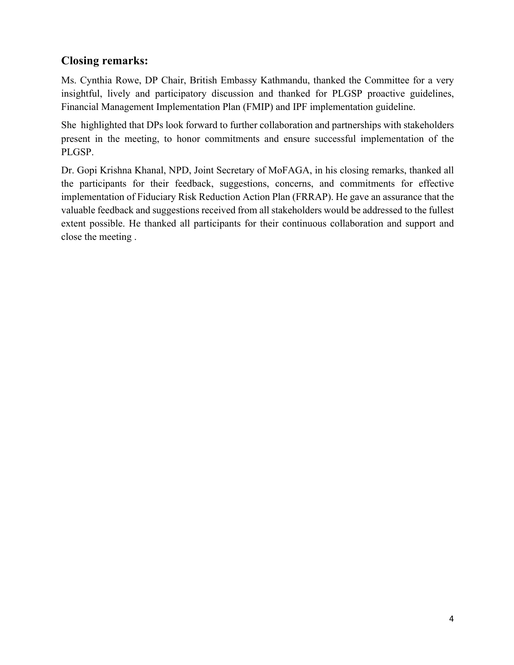### **Closing remarks:**

Ms. Cynthia Rowe, DP Chair, British Embassy Kathmandu, thanked the Committee for a very insightful, lively and participatory discussion and thanked for PLGSP proactive guidelines, Financial Management Implementation Plan (FMIP) and IPF implementation guideline.

She highlighted that DPs look forward to further collaboration and partnerships with stakeholders present in the meeting, to honor commitments and ensure successful implementation of the PLGSP.

Dr. Gopi Krishna Khanal, NPD, Joint Secretary of MoFAGA, in his closing remarks, thanked all the participants for their feedback, suggestions, concerns, and commitments for effective implementation of Fiduciary Risk Reduction Action Plan (FRRAP). He gave an assurance that the valuable feedback and suggestions received from all stakeholders would be addressed to the fullest extent possible. He thanked all participants for their continuous collaboration and support and close the meeting .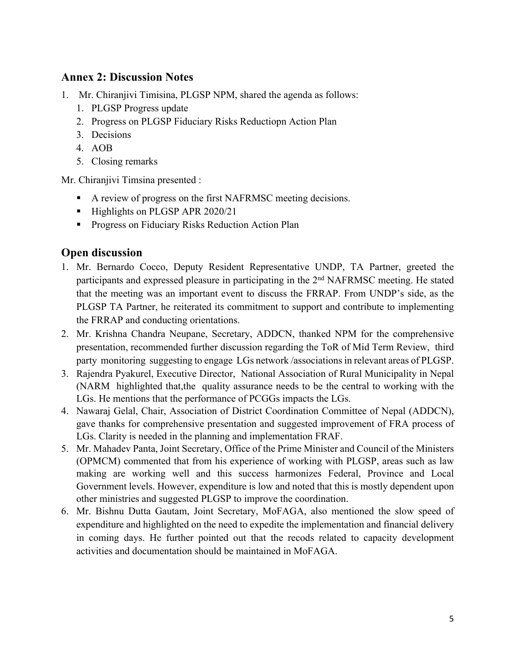#### **Annex 2: Discussion Notes**

- 1. Mr. Chiranjivi Timisina, PLGSP NPM, shared the agenda as follows:
	- 1. PLGSP Progress update
	- 2. Progress on PLGSP Fiduciary Risks Reductiopn Action Plan
	- 3. Decisions
	- 4. AOB
	- 5. Closing remarks

Mr. Chiranjivi Timsina presented :

- A review of progress on the first NAFRMSC meeting decisions.
- Highlights on PLGSP APR 2020/21
- Progress on Fiduciary Risks Reduction Action Plan

#### **Open discussion**

- 1. Mr. Bernardo Cocco, Deputy Resident Representative UNDP, TA Partner, greeted the participants and expressed pleasure in participating in the 2nd NAFRMSC meeting. He stated that the meeting was an important event to discuss the FRRAP. From UNDP's side, as the PLGSP TA Partner, he reiterated its commitment to support and contribute to implementing the FRRAP and conducting orientations.
- 2. Mr. Krishna Chandra Neupane, Secretary, ADDCN, thanked NPM for the comprehensive presentation, recommended further discussion regarding the ToR of Mid Term Review, third party monitoring suggesting to engage LGs network /associations in relevant areas of PLGSP.
- 3. Rajendra Pyakurel, Executive Director, National Association of Rural Municipality in Nepal (NARM highlighted that,the quality assurance needs to be the central to working with the LGs. He mentions that the performance of PCGGs impacts the LGs.
- 4. Nawaraj Gelal, Chair, Association of District Coordination Committee of Nepal (ADDCN), gave thanks for comprehensive presentation and suggested improvement of FRA process of LGs. Clarity is needed in the planning and implementation FRAF.
- 5. Mr. Mahadev Panta, Joint Secretary, Office of the Prime Minister and Council of the Ministers (OPMCM) commented that from his experience of working with PLGSP, areas such as law making are working well and this success harmonizes Federal, Province and Local Government levels. However, expenditure is low and noted that this is mostly dependent upon other ministries and suggested PLGSP to improve the coordination.
- 6. Mr. Bishnu Dutta Gautam, Joint Secretary, MoFAGA, also mentioned the slow speed of expenditure and highlighted on the need to expedite the implementation and financial delivery in coming days. He further pointed out that the recods related to capacity development activities and documentation should be maintained in MoFAGA.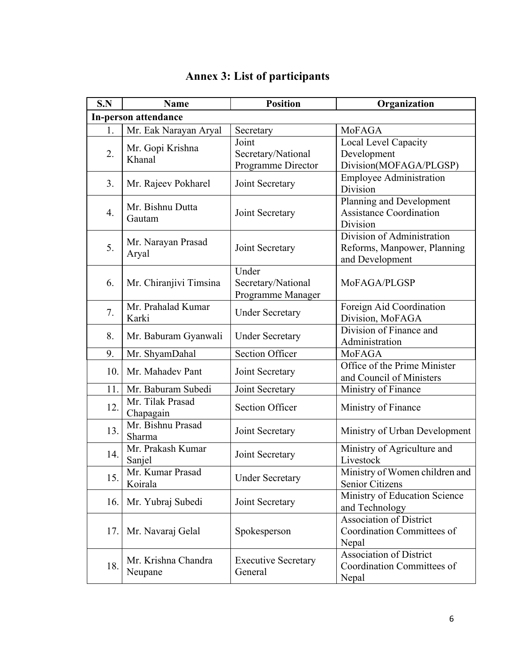| S.N | <b>Name</b>                    | <b>Position</b>                                   | Organization                                                                 |  |  |
|-----|--------------------------------|---------------------------------------------------|------------------------------------------------------------------------------|--|--|
|     | <b>In-person attendance</b>    |                                                   |                                                                              |  |  |
| 1.  | Mr. Eak Narayan Aryal          | Secretary                                         | MoFAGA                                                                       |  |  |
| 2.  | Mr. Gopi Krishna<br>Khanal     | Joint<br>Secretary/National<br>Programme Director | Local Level Capacity<br>Development<br>Division(MOFAGA/PLGSP)                |  |  |
| 3.  | Mr. Rajeev Pokharel            | Joint Secretary                                   | <b>Employee Administration</b><br>Division                                   |  |  |
| 4.  | Mr. Bishnu Dutta<br>Gautam     | Joint Secretary                                   | Planning and Development<br><b>Assistance Coordination</b><br>Division       |  |  |
| 5.  | Mr. Narayan Prasad<br>Aryal    | Joint Secretary                                   | Division of Administration<br>Reforms, Manpower, Planning<br>and Development |  |  |
| 6.  | Mr. Chiranjivi Timsina         | Under<br>Secretary/National<br>Programme Manager  | MoFAGA/PLGSP                                                                 |  |  |
| 7.  | Mr. Prahalad Kumar<br>Karki    | <b>Under Secretary</b>                            | Foreign Aid Coordination<br>Division, MoFAGA                                 |  |  |
| 8.  | Mr. Baburam Gyanwali           | <b>Under Secretary</b>                            | Division of Finance and<br>Administration                                    |  |  |
| 9.  | Mr. ShyamDahal                 | <b>Section Officer</b>                            | MoFAGA                                                                       |  |  |
| 10. | Mr. Mahadev Pant               | Joint Secretary                                   | Office of the Prime Minister<br>and Council of Ministers                     |  |  |
| 11. | Mr. Baburam Subedi             | Joint Secretary                                   | Ministry of Finance                                                          |  |  |
| 12. | Mr. Tilak Prasad<br>Chapagain  | <b>Section Officer</b>                            | Ministry of Finance                                                          |  |  |
| 13. | Mr. Bishnu Prasad<br>Sharma    | Joint Secretary                                   | Ministry of Urban Development                                                |  |  |
| 14. | Mr. Prakash Kumar<br>Sanjel    | Joint Secretary                                   | Ministry of Agriculture and<br>Livestock                                     |  |  |
| 15. | Mr. Kumar Prasad<br>Koirala    | <b>Under Secretary</b>                            | Ministry of Women children and<br>Senior Citizens                            |  |  |
| 16. | Mr. Yubraj Subedi              | Joint Secretary                                   | Ministry of Education Science<br>and Technology                              |  |  |
| 17. | Mr. Navaraj Gelal              | Spokesperson                                      | Association of District<br>Coordination Committees of<br>Nepal               |  |  |
| 18. | Mr. Krishna Chandra<br>Neupane | <b>Executive Secretary</b><br>General             | <b>Association of District</b><br>Coordination Committees of<br>Nepal        |  |  |

# **Annex 3: List of participants**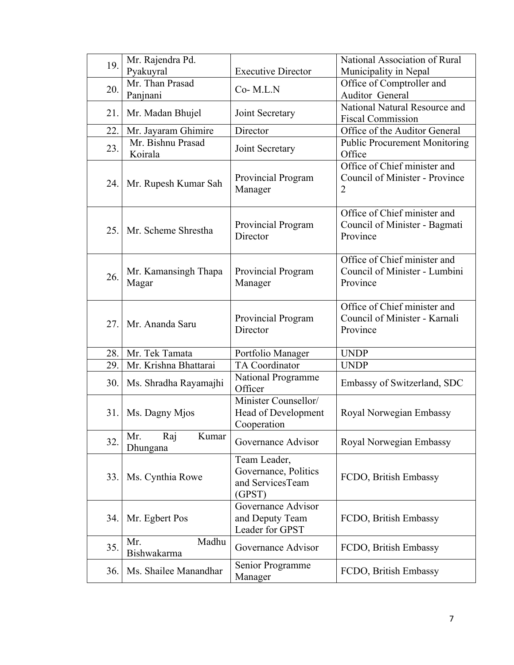| 19. | Mr. Rajendra Pd.<br>Pyakuyral   | <b>Executive Director</b>                                          | National Association of Rural<br>Municipality in Nepal                    |
|-----|---------------------------------|--------------------------------------------------------------------|---------------------------------------------------------------------------|
| 20. | Mr. Than Prasad                 | Co-M.L.N                                                           | Office of Comptroller and                                                 |
|     | Panjnani                        |                                                                    | Auditor General<br>National Natural Resource and                          |
| 21. | Mr. Madan Bhujel                | Joint Secretary                                                    | <b>Fiscal Commission</b>                                                  |
| 22. | Mr. Jayaram Ghimire             | Director                                                           | Office of the Auditor General                                             |
| 23. | Mr. Bishnu Prasad<br>Koirala    | Joint Secretary                                                    | <b>Public Procurement Monitoring</b><br>Office                            |
| 24. | Mr. Rupesh Kumar Sah            | Provincial Program<br>Manager                                      | Office of Chief minister and<br>Council of Minister - Province<br>2       |
| 25. | Mr. Scheme Shrestha             | Provincial Program<br>Director                                     | Office of Chief minister and<br>Council of Minister - Bagmati<br>Province |
| 26. | Mr. Kamansingh Thapa<br>Magar   | Provincial Program<br>Manager                                      | Office of Chief minister and<br>Council of Minister - Lumbini<br>Province |
| 27. | Mr. Ananda Saru                 | Provincial Program<br>Director                                     | Office of Chief minister and<br>Council of Minister - Karnali<br>Province |
| 28. | Mr. Tek Tamata                  | Portfolio Manager                                                  | <b>UNDP</b>                                                               |
| 29. | Mr. Krishna Bhattarai           | TA Coordinator                                                     | <b>UNDP</b>                                                               |
| 30. | Ms. Shradha Rayamajhi           | <b>National Programme</b><br>Officer                               | Embassy of Switzerland, SDC                                               |
| 31. | Ms. Dagny Mjos                  | Minister Counsellor/<br>Head of Development<br>Cooperation         | Royal Norwegian Embassy                                                   |
| 32. | Mr.<br>Kumar<br>Raj<br>Dhungana | Governance Advisor                                                 | Royal Norwegian Embassy                                                   |
| 33. | Ms. Cynthia Rowe                | Team Leader,<br>Governance, Politics<br>and ServicesTeam<br>(GPST) | FCDO, British Embassy                                                     |
| 34. | Mr. Egbert Pos                  | Governance Advisor<br>and Deputy Team<br>Leader for GPST           | FCDO, British Embassy                                                     |
| 35. | Madhu<br>Mr.<br>Bishwakarma     | Governance Advisor                                                 | FCDO, British Embassy                                                     |
| 36. | Ms. Shailee Manandhar           | Senior Programme<br>Manager                                        | FCDO, British Embassy                                                     |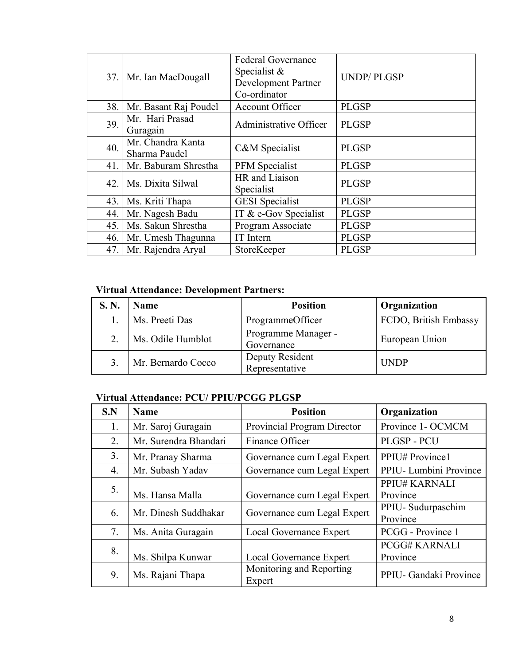| 37. | Mr. Ian MacDougall                 | <b>Federal Governance</b><br>Specialist &<br><b>Development Partner</b><br>Co-ordinator | <b>UNDP/PLGSP</b> |
|-----|------------------------------------|-----------------------------------------------------------------------------------------|-------------------|
| 38. | Mr. Basant Raj Poudel              | <b>Account Officer</b>                                                                  | <b>PLGSP</b>      |
| 39. | Mr. Hari Prasad<br>Guragain        | Administrative Officer                                                                  | <b>PLGSP</b>      |
| 40. | Mr. Chandra Kanta<br>Sharma Paudel | C&M Specialist                                                                          | <b>PLGSP</b>      |
| 41. | Mr. Baburam Shrestha               | PFM Specialist                                                                          | <b>PLGSP</b>      |
| 42. | Ms. Dixita Silwal                  | HR and Liaison<br>Specialist                                                            | <b>PLGSP</b>      |
| 43. | Ms. Kriti Thapa                    | <b>GESI</b> Specialist                                                                  | <b>PLGSP</b>      |
| 44. | Mr. Nagesh Badu                    | IT & e-Gov Specialist                                                                   | <b>PLGSP</b>      |
| 45. | Ms. Sakun Shrestha                 | Program Associate                                                                       | <b>PLGSP</b>      |
| 46. | Mr. Umesh Thagunna                 | IT Intern                                                                               | <b>PLGSP</b>      |
| 47. | Mr. Rajendra Aryal                 | StoreKeeper                                                                             | <b>PLGSP</b>      |

#### **Virtual Attendance: Development Partners:**

| S. N. | <b>Name</b>        | <b>Position</b>                   | Organization          |
|-------|--------------------|-----------------------------------|-----------------------|
|       | Ms. Preeti Das     | ProgrammeOfficer                  | FCDO, British Embassy |
|       | Ms. Odile Humblot  | Programme Manager -<br>Governance | European Union        |
|       | Mr. Bernardo Cocco | Deputy Resident<br>Representative | <b>UNDP</b>           |

#### **Virtual Attendance: PCU/ PPIU/PCGG PLGSP**

| S.N | Name                  | <b>Position</b>                    | Organization                     |
|-----|-----------------------|------------------------------------|----------------------------------|
| 1.  | Mr. Saroj Guragain    | Provincial Program Director        | Province 1- OCMCM                |
| 2.  | Mr. Surendra Bhandari | Finance Officer                    | PLGSP-PCU                        |
| 3.  | Mr. Pranay Sharma     | Governance cum Legal Expert        | PPIU# Province1                  |
| 4.  | Mr. Subash Yadav      | Governance cum Legal Expert        | PPIU- Lumbini Province           |
| 5.  | Ms. Hansa Malla       | Governance cum Legal Expert        | PPIU# KARNALI<br>Province        |
| 6.  | Mr. Dinesh Suddhakar  | Governance cum Legal Expert        | PPIU- Sudurpaschim<br>Province   |
| 7.  | Ms. Anita Guragain    | Local Governance Expert            | PCGG - Province 1                |
| 8.  | Ms. Shilpa Kunwar     | Local Governance Expert            | <b>PCGG# KARNALI</b><br>Province |
| 9.  | Ms. Rajani Thapa      | Monitoring and Reporting<br>Expert | PPIU- Gandaki Province           |